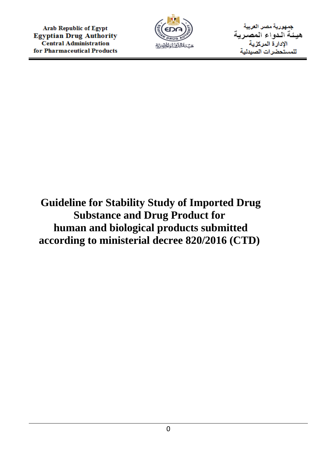

ة الـده اء المص الادارة المركزية للمستحضرات الصيدلية

**Guideline for Stability Study of Imported Drug Substance and Drug Product for human and biological products submitted according to ministerial decree 820/2016 (CTD)**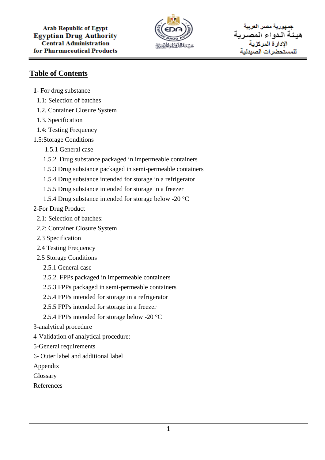

المده اء ال الادارة المركزية للمستحضرات الصيدلية

# **Table of Contents**

- **1** For drug substance
	- 1.1: Selection of batches
	- 1.2. Container Closure System
	- 1.3. Specification
	- 1.4: Testing Frequency
- 1.5:Storage Conditions
	- 1.5.1 General case
	- 1.5.2. Drug substance packaged in impermeable containers
	- 1.5.3 Drug substance packaged in semi-permeable containers
	- 1.5.4 Drug substance intended for storage in a refrigerator
	- 1.5.5 Drug substance intended for storage in a freezer
	- 1.5.4 Drug substance intended for storage below -20 °C
- 2-For Drug Product
	- 2.1: Selection of batches:
	- 2.2: Container Closure System
	- 2.3 Specification
	- 2.4 Testing Frequency
	- 2.5 Storage Conditions
		- 2.5.1 General case
		- 2.5.2. FPPs packaged in impermeable containers
		- 2.5.3 FPPs packaged in semi-permeable containers
		- 2.5.4 FPPs intended for storage in a refrigerator
		- 2.5.5 FPPs intended for storage in a freezer
		- 2.5.4 FPPs intended for storage below -20 °C
- 3-analytical procedure
- 4-Validation of analytical procedure:
- 5-General requirements
- 6- Outer label and additional label
- Appendix
- Glossary
- References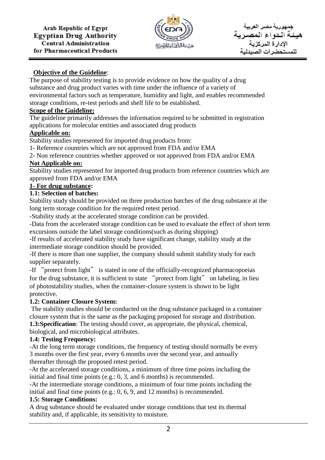

## **Objective of the Guideline**:

The purpose of stability testing is to provide evidence on how the quality of a drug substance and drug product varies with time under the influence of a variety of environmental factors such as temperature, humidity and light, and enables recommended storage conditions, re-test periods and shelf life to be established.

#### **Scope of the Guideline:**

The guideline primarily addresses the information required to be submitted in registration applications for molecular entities and associated drug products

## **Applicable on:**

Stability studies represented for imported drug products from:

1- Reference countries which are not approved from FDA and/or EMA

2- Non reference countries whether approved or not approved from FDA and/or EMA

#### **Not Applicable on:**

Stability studies represented for imported drug products from reference countries which are approved from FDA and/or EMA

## **1- For drug substance:**

#### **1.1: Selection of batches:**

Stability study should be provided on three production batches of the drug substance at the long term storage condition for the required retest period.

-Stability study at the accelerated storage condition can be provided.

-Data from the accelerated storage condition can be used to evaluate the effect of short term excursions outside the label storage conditions(such as during shipping)

-If results of accelerated stability study have significant change, stability study at the intermediate storage condition should be provided.

-If there is more than one supplier, the company should submit stability study for each supplier separately.

-If "protect from light" is stated in one of the officially-recognized pharmacopoeias for the drug substance, it is sufficient to state "protect from light" on labeling, in lieu of photostability studies, when the container-closure system is shown to be light protective.

## **1.2: Container Closure System:**

The stability studies should be conducted on the drug substance packaged in a container closure system that is the same as the packaging proposed for storage and distribution. **1.3:Specification**: The testing should cover, as appropriate, the physical, chemical, biological, and microbiological attributes.

## **1.4: Testing Frequency:**

-At the long term storage conditions, the frequency of testing should normally be every 3 months over the first year, every 6 months over the second year, and annually thereafter through the proposed retest period.

-At the accelerated storage conditions, a minimum of three time points including the initial and final time points (e.g.: 0, 3, and 6 months) is recommended.

-At the intermediate storage conditions, a minimum of four time points including the initial and final time points (e.g.: 0, 6, 9, and 12 months) is recommended.

## **1.5: Storage Conditions:**

A drug substance should be evaluated under storage conditions that test its thermal stability and, if applicable, its sensitivity to moisture.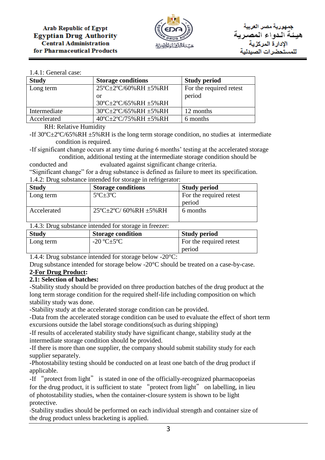

### 1.4.1: General case:

| <b>Study</b> | <b>Storage conditions</b>                      | <b>Study period</b>     |
|--------------|------------------------------------------------|-------------------------|
| Long term    | $25^{\circ}C \pm 2^{\circ}C/60\% RH \pm 5\%RH$ | For the required retest |
|              | or                                             | period                  |
|              | $30^{\circ}$ C $\pm$ 2°C/65%RH $\pm$ 5%RH      |                         |
| Intermediate | $30^{\circ}$ C $\pm$ 2°C/65%RH $\pm$ 5%RH      | 12 months               |
| Accelerated  | $40^{\circ}$ C $\pm$ 2°C/75%RH $\pm$ 5%RH      | 6 months                |

## RH: Relative Humidity

-If  $30^{\circ}C \pm 2^{\circ}C/65\%RH \pm 5\%RH$  is the long term storage condition, no studies at intermediate condition is required.

-If significant change occurs at any time during 6 months' testing at the accelerated storage condition, additional testing at the intermediate storage condition should be

conducted and evaluated against significant change criteria.

"Significant change" for a drug substance is defined as failure to meet its specification. 1.4.2: Drug substance intended for storage in refrigerator:

| <b>Study</b> | <b>Storage conditions</b>                      | <b>Study period</b>     |
|--------------|------------------------------------------------|-------------------------|
| Long term    | $5^{\circ}C \pm 3^{\circ}C$                    | For the required retest |
|              |                                                | period                  |
| Accelerated  | $25^{\circ}C \pm 2^{\circ}C/60\% RH \pm 5\%RH$ | 6 months                |
|              |                                                |                         |

#### 1.4.3: Drug substance intended for storage in freezer:

| <b>Study</b> | <b>Storage condition</b> | <b>Study period</b>     |
|--------------|--------------------------|-------------------------|
| Long term    | -20 °C $\pm$ 5°C         | For the required retest |
|              |                          | period                  |

1.4.4: Drug substance intended for storage below -20°C:

Drug substance intended for storage below -20°C should be treated on a case-by-case. **2-For Drug Product:**

# **2.1: Selection of batches:**

-Stability study should be provided on three production batches of the drug product at the long term storage condition for the required shelf-life including composition on which stability study was done.

-Stability study at the accelerated storage condition can be provided.

-Data from the accelerated storage condition can be used to evaluate the effect of short term excursions outside the label storage conditions(such as during shipping)

-If results of accelerated stability study have significant change, stability study at the intermediate storage condition should be provided.

-If there is more than one supplier, the company should submit stability study for each supplier separately.

-Photostability testing should be conducted on at least one batch of the drug product if applicable.

-If "protect from light" is stated in one of the officially-recognized pharmacopoeias for the drug product, it is sufficient to state "protect from light" on labelling, in lieu of photostability studies, when the container-closure system is shown to be light protective.

-Stability studies should be performed on each individual strength and container size of the drug product unless bracketing is applied.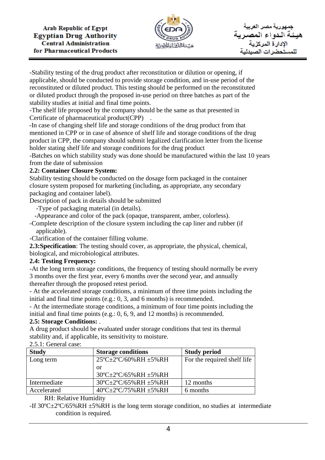**Arab Republic of Egypt Egyptian Drug Authority Central Administration** for Pharmaceutical Products



-Stability testing of the drug product after reconstitution or dilution or opening, if applicable, should be conducted to provide storage condition, and in-use period of the reconstituted or diluted product. This testing should be performed on the reconstituted or diluted product through the proposed in-use period on three batches as part of the stability studies at initial and final time points.

-The shelf life proposed by the company should be the same as that presented in Certificate of pharmaceutical product(CPP) .

 -In case of changing shelf life and storage conditions of the drug product from that mentioned in CPP or in case of absence of shelf life and storage conditions of the drug product in CPP, the company should submit legalized clarification letter from the license holder stating shelf life and storage conditions for the drug product

-Batches on which stability study was done should be manufactured within the last 10 years from the date of submission

## **2.2: Container Closure System:**

Stability testing should be conducted on the dosage form packaged in the container closure system proposed for marketing (including, as appropriate, any secondary packaging and container label).

Description of pack in details should be submitted

-Type of packaging material (in details).

-Appearance and color of the pack (opaque, transparent, amber, colorless).

-Complete description of the closure system including the cap liner and rubber (if applicable).

-Clarification of the container filling volume.

**2.3:Specification**: The testing should cover, as appropriate, the physical, chemical, biological, and microbiological attributes.

## **2.4: Testing Frequency:**

-At the long term storage conditions, the frequency of testing should normally be every 3 months over the first year, every 6 months over the second year, and annually thereafter through the proposed retest period.

- At the accelerated storage conditions, a minimum of three time points including the initial and final time points (e.g.: 0, 3, and 6 months) is recommended.

- At the intermediate storage conditions, a minimum of four time points including the initial and final time points (e.g.: 0, 6, 9, and 12 months) is recommended.

## **2.5: Storage Conditions:** .

A drug product should be evaluated under storage conditions that test its thermal stability and, if applicable, its sensitivity to moisture.  $2.5.1: General case:$ 

| $\mathcal{L}.\mathcal{I}.\mathbf{I}$ . Uchclai casc. |                                                |                             |
|------------------------------------------------------|------------------------------------------------|-----------------------------|
| <b>Study</b>                                         | <b>Storage conditions</b>                      | <b>Study period</b>         |
| Long term                                            | $25^{\circ}C \pm 2^{\circ}C/60\% RH \pm 5\%RH$ | For the required shelf life |
|                                                      | or                                             |                             |
|                                                      | $30^{\circ}$ C $\pm$ 2°C/65%RH $\pm$ 5%RH      |                             |
| Intermediate                                         | $30^{\circ}$ C $\pm$ 2°C/65%RH $\pm$ 5%RH      | 12 months                   |
| Accelerated                                          | $40^{\circ}$ C $\pm$ 2°C/75% RH $\pm$ 5% RH    | 6 months                    |

## RH: Relative Humidity

-If  $30^{\circ}C \pm 2^{\circ}C/65\%RH \pm 5\%RH$  is the long term storage condition, no studies at intermediate condition is required.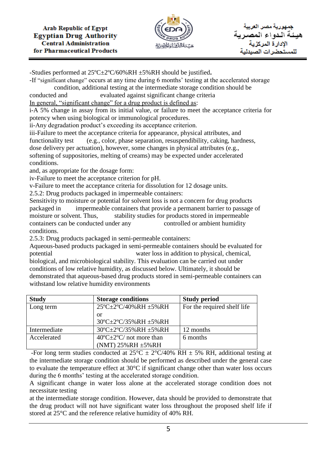

الادارة المركز لتحضرات الصيدلية

-Studies performed at 25ºC±2ºC/60%RH ±5%RH should be justified**.**

-If "significant change" occurs at any time during 6 months' testing at the accelerated storage condition, additional testing at the intermediate storage condition should be

conducted and evaluated against significant change criteria

In general, "significant change" for a drug product is defined as:

i-A 5% change in assay from its initial value, or failure to meet the acceptance criteria for potency when using biological or immunological procedures.

ii-Any degradation product's exceeding its acceptance criterion.

iii-Failure to meet the acceptance criteria for appearance, physical attributes, and functionality test (e.g., color, phase separation, resuspendibility, caking, hardness, dose delivery per actuation), however, some changes in physical attributes (e.g., softening of suppositories, melting of creams) may be expected under accelerated conditions.

and, as appropriate for the dosage form:

iv-Failure to meet the acceptance criterion for pH.

v-Failure to meet the acceptance criteria for dissolution for 12 dosage units.

2.5.2: Drug products packaged in impermeable containers:

Sensitivity to moisture or potential for solvent loss is not a concern for drug products packaged in impermeable containers that provide a permanent barrier to passage of moisture or solvent. Thus, stability studies for products stored in impermeable containers can be conducted under any controlled or ambient humidity conditions.

2.5.3: Drug products packaged in semi-permeable containers:

Aqueous-based products packaged in semi-permeable containers should be evaluated for potential water loss in addition to physical, chemical, biological, and microbiological stability. This evaluation can be carried out under

conditions of low relative humidity, as discussed below. Ultimately, it should be demonstrated that aqueous-based drug products stored in semi-permeable containers can withstand low relative humidity environments

| <b>Study</b> | <b>Storage conditions</b>                  | <b>Study period</b>         |
|--------------|--------------------------------------------|-----------------------------|
| Long term    | $25^{\circ}$ C $\pm$ 2°C/40%RH $\pm$ 5%RH  | For the required shelf life |
|              | or                                         |                             |
|              | 30°C±2°C/35%RH ±5%RH                       |                             |
| Intermediate | 30°C±2°C/35%RH ±5%RH                       | 12 months                   |
| Accelerated  | $40^{\circ}C \pm 2^{\circ}C$ not more than | 6 months                    |
|              | (NMT) $25\%RH \pm 5\%RH$                   |                             |

-For long term studies conducted at  $25^{\circ}$ C  $\pm$  2°C/40% RH  $\pm$  5% RH, additional testing at the intermediate storage condition should be performed as described under the general case to evaluate the temperature effect at 30°C if significant change other than water loss occurs during the 6 months' testing at the accelerated storage condition.

A significant change in water loss alone at the accelerated storage condition does not necessitate testing

at the intermediate storage condition. However, data should be provided to demonstrate that the drug product will not have significant water loss throughout the proposed shelf life if stored at 25°C and the reference relative humidity of 40% RH.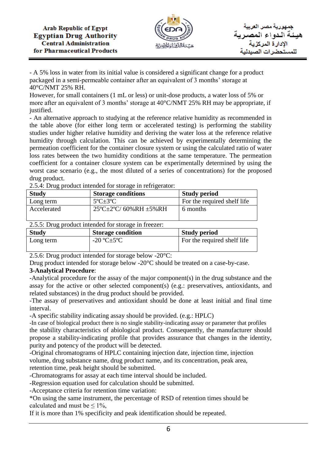

- A 5% loss in water from its initial value is considered a significant change for a product packaged in a semi-permeable container after an equivalent of 3 months' storage at 40°C/NMT 25% RH.

However, for small containers (1 mL or less) or unit-dose products, a water loss of 5% or more after an equivalent of 3 months' storage at 40°C/NMT 25% RH may be appropriate, if justified.

- An alternative approach to studying at the reference relative humidity as recommended in the table above (for either long term or accelerated testing) is performing the stability studies under higher relative humidity and deriving the water loss at the reference relative humidity through calculation. This can be achieved by experimentally determining the permeation coefficient for the container closure system or using the calculated ratio of water loss rates between the two humidity conditions at the same temperature. The permeation coefficient for a container closure system can be experimentally determined by using the worst case scenario (e.g., the most diluted of a series of concentrations) for the proposed drug product.

| --           |                                           |                             |
|--------------|-------------------------------------------|-----------------------------|
| <b>Study</b> | <b>Storage conditions</b>                 | <b>Study period</b>         |
| Long term    | $5^{\circ}C \pm 3^{\circ}C$               | For the required shelf life |
| Accelerated  | $25^{\circ}$ C $\pm$ 2°C/60%RH $\pm$ 5%RH | 6 months                    |

2.5.4: Drug product intended for storage in refrigerator:

2.5.5: Drug product intended for storage in freezer:

| $\equiv 0.010$ . Divis program intended for decided in heading |                          |                             |
|----------------------------------------------------------------|--------------------------|-----------------------------|
| <b>Study</b>                                                   | <b>Storage condition</b> | <b>Study period</b>         |
| Long term                                                      | -20 °C $\pm$ 5°C         | For the required shelf life |

2.5.6: Drug product intended for storage below -20°C:

Drug product intended for storage below -20°C should be treated on a case-by-case.

## **3-Analytical Procedure**:

-Analytical procedure for the assay of the major component(s) in the drug substance and the assay for the active or other selected component(s) (e.g.: preservatives, antioxidants, and related substances) in the drug product should be provided.

-The assay of preservatives and antioxidant should be done at least initial and final time interval.

-A specific stability indicating assay should be provided. (e.g.: HPLC)

-In case of biological product there is no single stability-indicating assay or parameter that profiles the stability characteristics of abiological product. Consequently, the manufacturer should propose a stability-indicating profile that provides assurance that changes in the identity, purity and potency of the product will be detected.

-Original chromatograms of HPLC containing injection date, injection time, injection volume, drug substance name, drug product name, and its concentration, peak area, retention time, peak height should be submitted.

-Chromatograms for assay at each time interval should be included.

-Regression equation used for calculation should be submitted.

-Acceptance criteria for retention time variation:

\*On using the same instrument, the percentage of RSD of retention times should be calculated and must be  $\leq 1\%$ ,

If it is more than 1% specificity and peak identification should be repeated.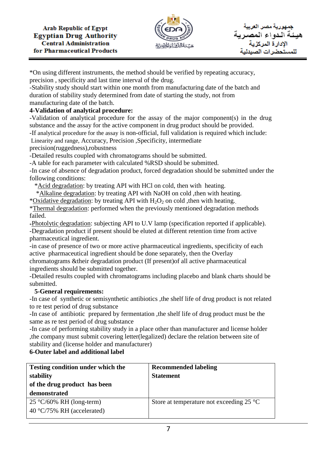**Arab Republic of Egypt Egyptian Drug Authority Central Administration** for Pharmaceutical Products



\*On using different instruments, the method should be verified by repeating accuracy, precision , specificity and last time interval of the drug.

-Stability study should start within one month from manufacturing date of the batch and duration of stability study determined from date of starting the study, not from manufacturing date of the batch.

### **4-Validation of analytical procedure:**

-Validation of analytical procedure for the assay of the major component(s) in the drug substance and the assay for the active component in drug product should be provided.

-If analytical procedure for the assay is non-official, full validation is required which include: Linearity and range, Accuracy, Precision ,Specificity, intermediate

precision(ruggedness),robustness

-Detailed results coupled with chromatograms should be submitted.

-A table for each parameter with calculated %RSD should be submitted.

-In case of absence of degradation product, forced degradation should be submitted under the following conditions:

\*Acid degradation: by treating API with HCl on cold, then with heating.

\*Alkaline degradation: by treating API with NaOH on cold ,then with heating.

\*Oxidative degradation: by treating API with  $H_2O_2$  on cold , then with heating.

\*Thermal degradation: performed when the previously mentioned degradation methods failed.

\*Photolytic degradation: subjecting API to U.V lamp (specification reported if applicable). -Degradation product if present should be eluted at different retention time from active pharmaceutical ingredient.

-in case of presence of two or more active pharmaceutical ingredients, specificity of each active pharmaceutical ingredient should be done separately, then the Overlay chromatograms &their degradation product (If present)of all active pharmaceutical ingredients should be submitted together.

-Detailed results coupled with chromatograms including placebo and blank charts should be submitted.

## **5-General requirements:**

-In case of synthetic or semisynthetic antibiotics ,the shelf life of drug product is not related to re test period of drug substance

-In case of antibiotic prepared by fermentation ,the shelf life of drug product must be the same as re test period of drug substance

-In case of performing stability study in a place other than manufacturer and license holder ,the company must submit covering letter(legalized) declare the relation between site of stability and (license holder and manufacturer)

# **6-Outer label and additional label**

| Testing condition under which the           | <b>Recommended labeling</b>                       |
|---------------------------------------------|---------------------------------------------------|
| stability                                   | <b>Statement</b>                                  |
| of the drug product has been                |                                                   |
| demonstrated                                |                                                   |
| $25 \text{ °C}/60\% \text{ RH}$ (long-term) | Store at temperature not exceeding $25^{\circ}$ C |
| 40 °C/75% RH (accelerated)                  |                                                   |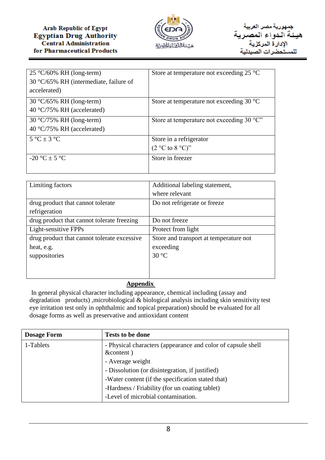

| $25 °C/60\% RH$ (long-term)<br>30 $\degree$ C/65% RH (intermediate, failure of<br>accelerated) | Store at temperature not exceeding 25 $^{\circ}$ C |
|------------------------------------------------------------------------------------------------|----------------------------------------------------|
| $30 °C/65\% RH$ (long-term)<br>40 °C/75% RH (accelerated)                                      | Store at temperature not exceeding 30 $^{\circ}$ C |
| $30 °C/75\% RH$ (long-term)<br>40 °C/75% RH (accelerated)                                      | Store at temperature not exceeding 30 $\degree$ C" |
| $5^{\circ}C \pm 3^{\circ}C$                                                                    | Store in a refrigerator<br>$(2 °C)$ to $8 °C$ )"   |
| $-20$ °C $\pm$ 5 °C                                                                            | Store in freezer                                   |

| Limiting factors                            | Additional labeling statement,         |
|---------------------------------------------|----------------------------------------|
|                                             | where relevant                         |
| drug product that cannot tolerate           | Do not refrigerate or freeze           |
| refrigeration                               |                                        |
| drug product that cannot tolerate freezing  | Do not freeze                          |
| Light-sensitive FPPs                        | Protect from light                     |
| drug product that cannot tolerate excessive | Store and transport at temperature not |
| heat, e.g.                                  | exceeding                              |
| suppositories                               | $30^{\circ}$ C                         |
|                                             |                                        |
|                                             |                                        |

#### **Appendix**

In general physical character including appearance, chemical including (assay and degradation products) ,microbiological & biological analysis including skin sensitivity test eye irritation test only in ophthalmic and topical preparation) should be evaluated for all dosage forms as well as preservative and antioxidant content

| <b>Dosage Form</b> | Tests to be done                                                           |
|--------------------|----------------------------------------------------------------------------|
| 1-Tablets          | - Physical characters (appearance and color of capsule shell)<br>&content) |
|                    | - Average weight                                                           |
|                    | - Dissolution (or disintegration, if justified)                            |
|                    | -Water content (if the specification stated that)                          |
|                    | -Hardness / Friability (for un coating tablet)                             |
|                    | -Level of microbial contamination.                                         |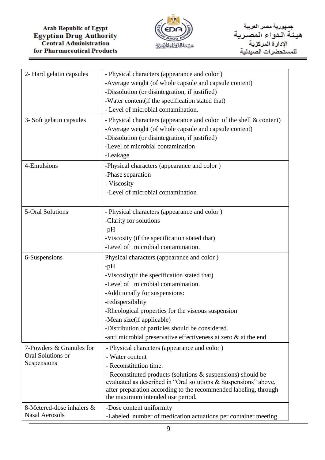Arab Republic of Egypt<br>Egyptian Drug Authority<br>Central Administration for Pharmaceutical Products



جمهورية مصر العربية ة الدواء المصرية الإدارة المركزية للمستحضرات الصيدلية

| 2- Hard gelatin capsules  | - Physical characters (appearance and color)                          |
|---------------------------|-----------------------------------------------------------------------|
|                           | -Average weight (of whole capsule and capsule content)                |
|                           | -Dissolution (or disintegration, if justified)                        |
|                           | -Water content(if the specification stated that)                      |
|                           | - Level of microbial contamination.                                   |
| 3- Soft gelatin capsules  | - Physical characters (appearance and color of the shell $&$ content) |
|                           | -Average weight (of whole capsule and capsule content)                |
|                           | -Dissolution (or disintegration, if justified)                        |
|                           | -Level of microbial contamination                                     |
|                           | -Leakage                                                              |
| 4-Emulsions               | -Physical characters (appearance and color)                           |
|                           | -Phase separation                                                     |
|                           | - Viscosity                                                           |
|                           | -Level of microbial contamination                                     |
|                           |                                                                       |
| 5-Oral Solutions          | - Physical characters (appearance and color)                          |
|                           | -Clarity for solutions                                                |
|                           | $-pH$                                                                 |
|                           | -Viscosity (if the specification stated that)                         |
|                           | -Level of microbial contamination.                                    |
| 6-Suspensions             | Physical characters (appearance and color)                            |
|                           | $-pH$                                                                 |
|                           | -Viscosity(if the specification stated that)                          |
|                           | -Level of microbial contamination.                                    |
|                           | -Additionally for suspensions:                                        |
|                           | -redispersibility                                                     |
|                           | -Rheological properties for the viscous suspension                    |
|                           | -Mean size (if applicable)                                            |
|                           | -Distribution of particles should be considered.                      |
|                           | -anti microbial preservative effectiveness at zero $\&$ at the end    |
| 7-Powders & Granules for  | - Physical characters (appearance and color)                          |
| Oral Solutions or         | - Water content                                                       |
| Suspensions               | - Reconstitution time.                                                |
|                           | - Reconstituted products (solutions & suspensions) should be          |
|                           | evaluated as described in "Oral solutions & Suspensions" above,       |
|                           | after preparation according to the recommended labeling, through      |
|                           | the maximum intended use period.                                      |
| 8-Metered-dose inhalers & | -Dose content uniformity                                              |
| <b>Nasal Aerosols</b>     | -Labeled number of medication actuations per container meeting        |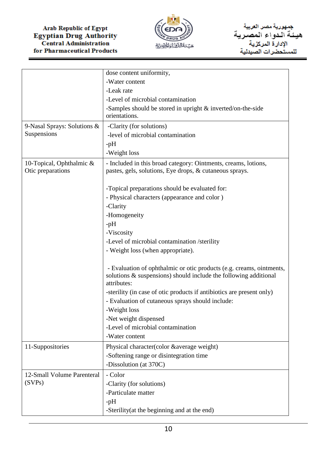Arab Republic of Egypt<br>Egyptian Drug Authority<br>Central Administration for Pharmaceutical Products



جمهورية مصر العربية ة الدواء المصرية الإدارة المركزية للمستحضرات الصيدلية

|                                            | dose content uniformity,                                                                                                                                |
|--------------------------------------------|---------------------------------------------------------------------------------------------------------------------------------------------------------|
|                                            | -Water content                                                                                                                                          |
|                                            | -Leak rate                                                                                                                                              |
|                                            | -Level of microbial contamination                                                                                                                       |
|                                            | -Samples should be stored in upright & inverted/on-the-side                                                                                             |
|                                            | orientations.                                                                                                                                           |
| 9-Nasal Sprays: Solutions &<br>Suspensions | -Clarity (for solutions)                                                                                                                                |
|                                            | -level of microbial contamination                                                                                                                       |
|                                            | $-pH$                                                                                                                                                   |
|                                            | -Weight loss                                                                                                                                            |
| 10-Topical, Ophthalmic $\&$                | - Included in this broad category: Ointments, creams, lotions,                                                                                          |
| Otic preparations                          | pastes, gels, solutions, Eye drops, & cutaneous sprays.                                                                                                 |
|                                            |                                                                                                                                                         |
|                                            | -Topical preparations should be evaluated for:                                                                                                          |
|                                            | - Physical characters (appearance and color)                                                                                                            |
|                                            | -Clarity                                                                                                                                                |
|                                            | -Homogeneity                                                                                                                                            |
|                                            | $-pH$                                                                                                                                                   |
|                                            | -Viscosity                                                                                                                                              |
|                                            | -Level of microbial contamination /sterility                                                                                                            |
|                                            | - Weight loss (when appropriate).                                                                                                                       |
|                                            |                                                                                                                                                         |
|                                            | - Evaluation of ophthalmic or otic products (e.g. creams, ointments,                                                                                    |
|                                            | solutions $\&$ suspensions) should include the following additional<br>attributes:                                                                      |
|                                            | -sterility (in case of otic products if antibiotics are present only)                                                                                   |
|                                            | - Evaluation of cutaneous sprays should include:                                                                                                        |
|                                            | -Weight loss                                                                                                                                            |
|                                            | -Net weight dispensed                                                                                                                                   |
|                                            | -Level of microbial contamination                                                                                                                       |
|                                            | -Water content                                                                                                                                          |
| 11-Suppositories                           |                                                                                                                                                         |
|                                            | -Softening range or disintegration time                                                                                                                 |
|                                            | -Dissolution (at 370C)                                                                                                                                  |
| 12-Small Volume Parenteral                 | - Color                                                                                                                                                 |
| (SVPs)                                     |                                                                                                                                                         |
|                                            |                                                                                                                                                         |
|                                            |                                                                                                                                                         |
|                                            |                                                                                                                                                         |
|                                            | Physical character (color & average weight)<br>-Clarity (for solutions)<br>-Particulate matter<br>$-pH$<br>-Sterility (at the beginning and at the end) |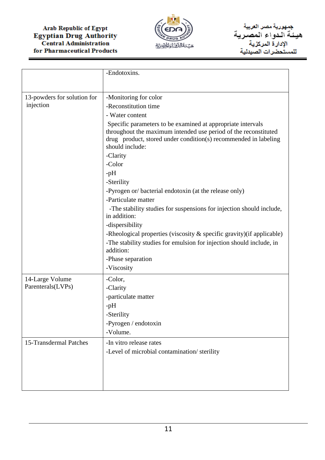

جمهورية مصر العربية ة الدواء المصرية الإدارة المركزية المستحضرات الصيدلية

|                             | -Endotoxins.                                                                                                                                                                                                         |
|-----------------------------|----------------------------------------------------------------------------------------------------------------------------------------------------------------------------------------------------------------------|
|                             |                                                                                                                                                                                                                      |
|                             |                                                                                                                                                                                                                      |
| 13-powders for solution for | -Monitoring for color                                                                                                                                                                                                |
| injection                   | -Reconstitution time                                                                                                                                                                                                 |
|                             | - Water content                                                                                                                                                                                                      |
|                             | Specific parameters to be examined at appropriate intervals<br>throughout the maximum intended use period of the reconstituted<br>drug product, stored under condition(s) recommended in labeling<br>should include: |
|                             | -Clarity                                                                                                                                                                                                             |
|                             | -Color                                                                                                                                                                                                               |
|                             | $-pH$                                                                                                                                                                                                                |
|                             | -Sterility                                                                                                                                                                                                           |
|                             | -Pyrogen or/ bacterial endotoxin (at the release only)                                                                                                                                                               |
|                             | -Particulate matter                                                                                                                                                                                                  |
|                             | -The stability studies for suspensions for injection should include,<br>in addition:                                                                                                                                 |
|                             | -dispersibility                                                                                                                                                                                                      |
|                             | -Rheological properties (viscosity $\&$ specific gravity)(if applicable)                                                                                                                                             |
|                             | -The stability studies for emulsion for injection should include, in<br>addition:                                                                                                                                    |
|                             | -Phase separation                                                                                                                                                                                                    |
|                             | -Viscosity                                                                                                                                                                                                           |
| 14-Large Volume             | -Color,                                                                                                                                                                                                              |
| Parenterals(LVPs)           | -Clarity                                                                                                                                                                                                             |
|                             | -particulate matter                                                                                                                                                                                                  |
|                             | -pH                                                                                                                                                                                                                  |
|                             | -Sterility                                                                                                                                                                                                           |
|                             | -Pyrogen / endotoxin                                                                                                                                                                                                 |
|                             | -Volume.                                                                                                                                                                                                             |
| 15-Transdermal Patches      | -In vitro release rates                                                                                                                                                                                              |
|                             | -Level of microbial contamination/sterility                                                                                                                                                                          |
|                             |                                                                                                                                                                                                                      |
|                             |                                                                                                                                                                                                                      |
|                             |                                                                                                                                                                                                                      |
|                             |                                                                                                                                                                                                                      |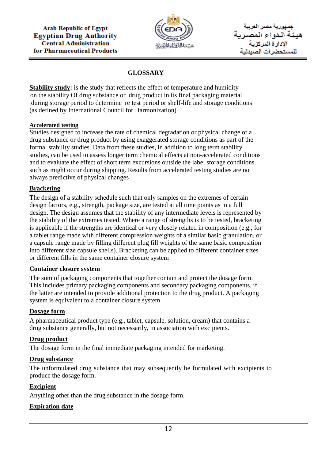**Arab Republic of Egypt Egyptian Drug Authority Central Administration** for Pharmaceutical Products



الادارة المركا لتحضرات الصيدلية

## **GLOSSARY**

**Stability study:** is the study that reflects the effect of temperature and humidity on the stability Of drug substance or drug product in its final packaging material during storage period to determine re test period or shelf-life and storage conditions (as defined by International Council for Harmonization)

#### **Accelerated testing**

Studies designed to increase the rate of chemical degradation or physical change of a drug substance or drug product by using exaggerated storage conditions as part of the formal stability studies. Data from these studies, in addition to long term stability studies, can be used to assess longer term chemical effects at non-accelerated conditions and to evaluate the effect of short term excursions outside the label storage conditions such as might occur during shipping. Results from accelerated testing studies are not always predictive of physical changes

#### **Bracketing**

The design of a stability schedule such that only samples on the extremes of certain design factors, e.g., strength, package size, are tested at all time points as in a full design. The design assumes that the stability of any intermediate levels is represented by the stability of the extremes tested. Where a range of strengths is to be tested, bracketing is applicable if the strengths are identical or very closely related in composition (e.g., for a tablet range made with different compression weights of a similar basic granulation, or a capsule range made by filling different plug fill weights of the same basic composition into different size capsule shells). Bracketing can be applied to different container sizes or different fills in the same container closure system

#### **Container closure system**

The sum of packaging components that together contain and protect the dosage form. This includes primary packaging components and secondary packaging components, if the latter are intended to provide additional protection to the drug product. A packaging system is equivalent to a container closure system.

#### **Dosage form**

A pharmaceutical product type (e.g., tablet, capsule, solution, cream) that contains a drug substance generally, but not necessarily, in association with excipients.

#### **Drug product**

The dosage form in the final immediate packaging intended for marketing.

#### **Drug substance**

The unformulated drug substance that may subsequently be formulated with excipients to produce the dosage form.

## **Excipient**

Anything other than the drug substance in the dosage form.

#### **Expiration date**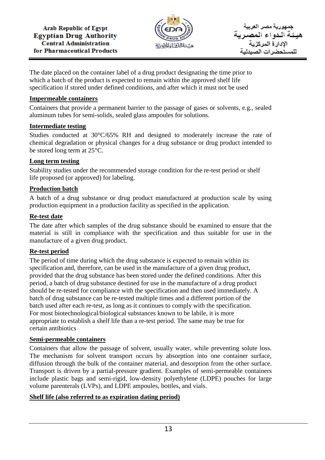

The date placed on the container label of a drug product designating the time prior to which a batch of the product is expected to remain within the approved shelf life specification if stored under defined conditions, and after which it must not be used

### **Impermeable containers**

Containers that provide a permanent barrier to the passage of gases or solvents, e.g., sealed aluminum tubes for semi-solids, sealed glass ampoules for solutions.

## **Intermediate testing**

Studies conducted at 30°C/65% RH and designed to moderately increase the rate of chemical degradation or physical changes for a drug substance or drug product intended to be stored long term at 25°C.

# **Long term testing**

Stability studies under the recommended storage condition for the re-test period or shelf life proposed (or approved) for labeling.

# **Production batch**

A batch of a drug substance or drug product manufactured at production scale by using production equipment in a production facility as specified in the application.

# **Re-test date**

The date after which samples of the drug substance should be examined to ensure that the material is still in compliance with the specification and thus suitable for use in the manufacture of a given drug product.

# **Re-test period**

The period of time during which the drug substance is expected to remain within its specification and, therefore, can be used in the manufacture of a given drug product, provided that the drug substance has been stored under the defined conditions. After this period, a batch of drug substance destined for use in the manufacture of a drug product should be re-tested for compliance with the specification and then used immediately. A batch of drug substance can be re-tested multiple times and a different portion of the batch used after each re-test, as long as it continues to comply with the specification. For most biotechnological/biological substances known to be labile, it is more appropriate to establish a shelf life than a re-test period. The same may be true for certain antibiotics

# **Semi-permeable containers**

Containers that allow the passage of solvent, usually water, while preventing solute loss. The mechanism for solvent transport occurs by absorption into one container surface, diffusion through the bulk of the container material, and desorption from the other surface. Transport is driven by a partial-pressure gradient. Examples of semi-permeable containers include plastic bags and semi-rigid, low-density polyethylene (LDPE) pouches for large volume parenterals (LVPs), and LDPE ampoules, bottles, and vials.

# **Shelf life (also referred to as expiration dating period)**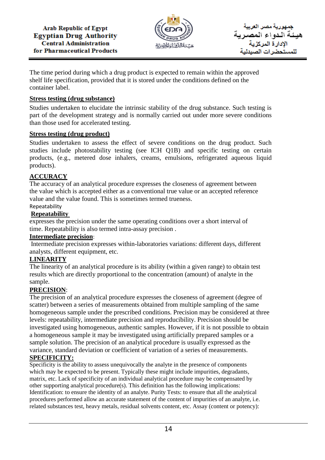

The time period during which a drug product is expected to remain within the approved shelf life specification, provided that it is stored under the conditions defined on the container label.

### **Stress testing (drug substance)**

Studies undertaken to elucidate the intrinsic stability of the drug substance. Such testing is part of the development strategy and is normally carried out under more severe conditions than those used for accelerated testing.

## **Stress testing (drug product)**

Studies undertaken to assess the effect of severe conditions on the drug product. Such studies include photostability testing (see ICH Q1B) and specific testing on certain products, (e.g., metered dose inhalers, creams, emulsions, refrigerated aqueous liquid products).

## **ACCURACY**

The accuracy of an analytical procedure expresses the closeness of agreement between the value which is accepted either as a conventional true value or an accepted reference value and the value found. This is sometimes termed trueness. Repeatability

## **Repeatability**

expresses the precision under the same operating conditions over a short interval of time. Repeatability is also termed intra-assay precision .

## **Intermediate precision**:

Intermediate precision expresses within-laboratories variations: different days, different analysts, different equipment, etc.

# **LINEARITY**

The linearity of an analytical procedure is its ability (within a given range) to obtain test results which are directly proportional to the concentration (amount) of analyte in the sample.

# **PRECISION**:

The precision of an analytical procedure expresses the closeness of agreement (degree of scatter) between a series of measurements obtained from multiple sampling of the same homogeneous sample under the prescribed conditions. Precision may be considered at three levels: repeatability, intermediate precision and reproducibility. Precision should be investigated using homogeneous, authentic samples. However, if it is not possible to obtain a homogeneous sample it may be investigated using artificially prepared samples or a sample solution. The precision of an analytical procedure is usually expressed as the variance, standard deviation or coefficient of variation of a series of measurements. **SPECIFICITY:** 

Specificity is the ability to assess unequivocally the analyte in the presence of components which may be expected to be present. Typically these might include impurities, degradants, matrix, etc. Lack of specificity of an individual analytical procedure may be compensated by other supporting analytical procedure(s). This definition has the following implications: Identification: to ensure the identity of an analyte. Purity Tests: to ensure that all the analytical procedures performed allow an accurate statement of the content of impurities of an analyte, i.e. related substances test, heavy metals, residual solvents content, etc. Assay (content or potency):